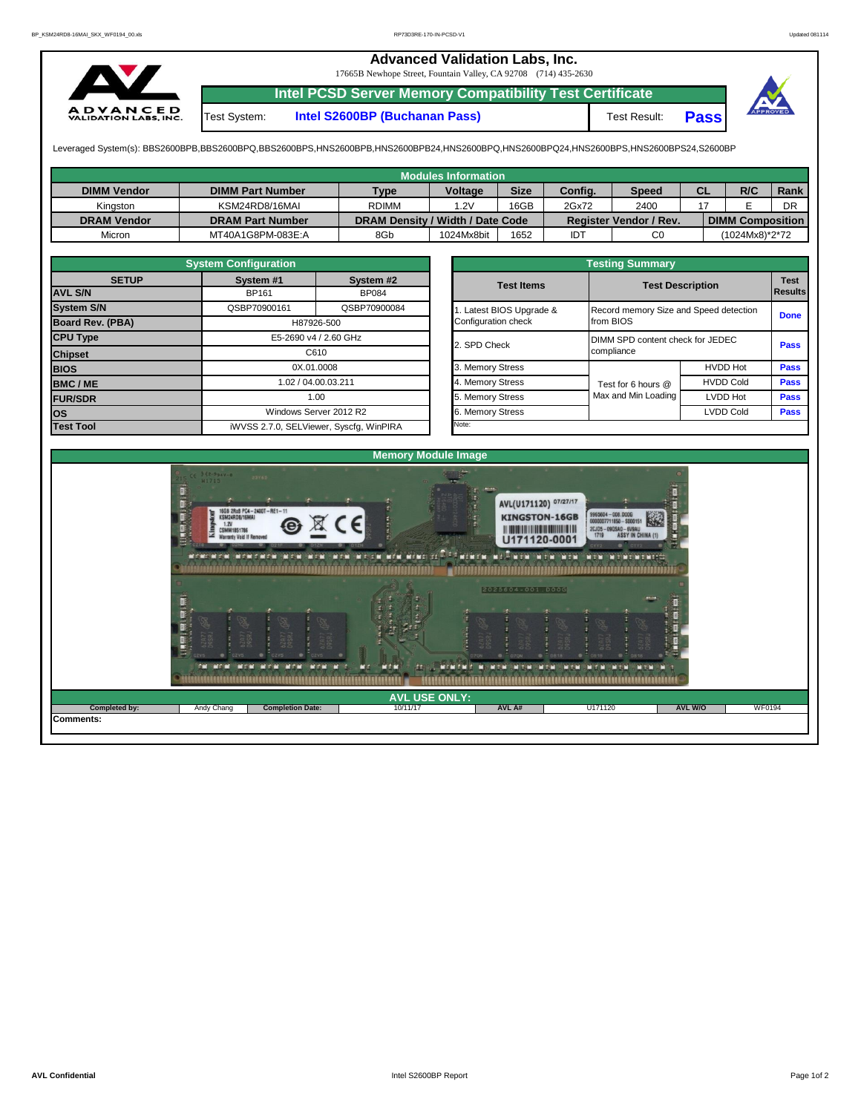## **Advanced Validation Labs, Inc.**

17665B Newhope Street, Fountain Valley, CA 92708 (714) 435-2630



**Intel PCSD Server Memory Compatibility Test Certificate**

Test System: **Intel S2600BP (Buchanan Pass)** Test Result: **Pass**



Leveraged System(s): BBS2600BPB,BBS2600BPQ,BBS2600BPS,HNS2600BPB,HNS2600BPB24,HNS2600BPQ,HNS2600BPQ24,HNS2600BPS,HNS2600BPS24,S2600BP

|                    |                         |                                  | <b>Modules Information</b> |             |            |                               |           |                         |             |  |
|--------------------|-------------------------|----------------------------------|----------------------------|-------------|------------|-------------------------------|-----------|-------------------------|-------------|--|
| <b>DIMM Vendor</b> | <b>DIMM Part Number</b> | <b>Type</b>                      | <b>Voltage</b>             | <b>Size</b> | Config.    | <b>Speed</b>                  | <b>CL</b> | R/C                     | <b>Rank</b> |  |
| Kinaston           | KSM24RD8/16MAI          | <b>RDIMM</b>                     | 1.2V                       | 16GB        |            | 2400                          |           |                         | DR          |  |
| <b>DRAM Vendor</b> | <b>DRAM Part Number</b> | DRAM Density / Width / Date Code |                            |             |            | <b>Register Vendor / Rev.</b> |           | <b>DIMM Composition</b> |             |  |
| Micron             | MT40A1G8PM-083E:A       | 8Gb                              | 1024Mx8bit                 | 1652        | <b>IDT</b> | C0                            |           | (1024Mx8)*2*72          |             |  |

|                                | <b>System Configuration</b>             |                                         |  | <b>Testing Summary</b> |                                        |                         |             |  |  |  |  |  |
|--------------------------------|-----------------------------------------|-----------------------------------------|--|------------------------|----------------------------------------|-------------------------|-------------|--|--|--|--|--|
| <b>SETUP</b><br><b>AVL S/N</b> | System #1<br>BP161                      | System #2<br><b>BP084</b>               |  | <b>Test Items</b>      |                                        | <b>Test Description</b> |             |  |  |  |  |  |
|                                |                                         |                                         |  |                        |                                        | <b>Results</b>          |             |  |  |  |  |  |
| <b>System S/N</b>              | QSBP70900161                            | QSBP70900084                            |  | Latest BIOS Upgrade &  | Record memory Size and Speed detection |                         | <b>Done</b> |  |  |  |  |  |
| Board Rev. (PBA)               |                                         | H87926-500                              |  | Configuration check    | from BIOS                              |                         |             |  |  |  |  |  |
| <b>CPU Type</b>                | E5-2690 v4 / 2.60 GHz                   |                                         |  | 2. SPD Check           | DIMM SPD content check for JEDEC       |                         |             |  |  |  |  |  |
| <b>Chipset</b>                 |                                         | C610                                    |  |                        | <b>Pass</b><br>compliance              |                         |             |  |  |  |  |  |
| <b>BIOS</b>                    | 0X.01.0008<br>02 / 04.00.03.211<br>1.00 |                                         |  | 3. Memory Stress       |                                        | <b>HVDD Hot</b>         | <b>Pass</b> |  |  |  |  |  |
| <b>BMC/ME</b>                  |                                         |                                         |  | 4. Memory Stress       | Test for 6 hours @                     | <b>Pass</b>             |             |  |  |  |  |  |
| <b>FUR/SDR</b>                 |                                         |                                         |  | 5. Memory Stress       | Max and Min Loading                    | LVDD Hot                | <b>Pass</b> |  |  |  |  |  |
| <b>los</b>                     |                                         | Windows Server 2012 R2                  |  | 6. Memory Stress       |                                        | <b>LVDD Cold</b>        | <b>Pass</b> |  |  |  |  |  |
| <b>Test Tool</b>               |                                         | iWVSS 2.7.0, SELViewer, Syscfq, WinPIRA |  | Note:                  |                                        |                         |             |  |  |  |  |  |